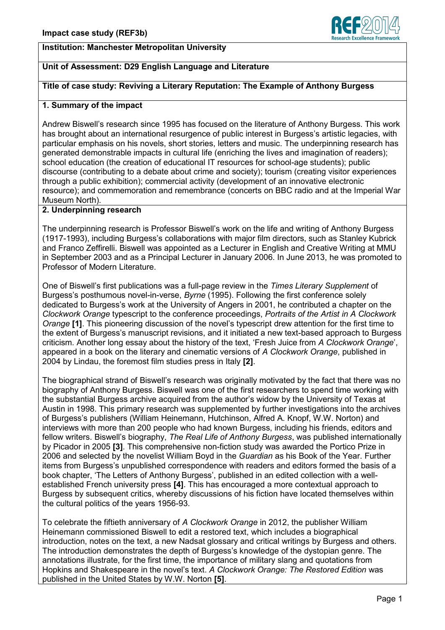

## **Institution: Manchester Metropolitan University**

## **Unit of Assessment: D29 English Language and Literature**

#### **Title of case study: Reviving a Literary Reputation: The Example of Anthony Burgess**

#### **1. Summary of the impact**

Andrew Biswell's research since 1995 has focused on the literature of Anthony Burgess. This work has brought about an international resurgence of public interest in Burgess's artistic legacies, with particular emphasis on his novels, short stories, letters and music. The underpinning research has generated demonstrable impacts in cultural life (enriching the lives and imagination of readers); school education (the creation of educational IT resources for school-age students); public discourse (contributing to a debate about crime and society); tourism (creating visitor experiences through a public exhibition); commercial activity (development of an innovative electronic resource); and commemoration and remembrance (concerts on BBC radio and at the Imperial War Museum North).

## **2. Underpinning research**

The underpinning research is Professor Biswell's work on the life and writing of Anthony Burgess (1917-1993), including Burgess's collaborations with major film directors, such as Stanley Kubrick and Franco Zeffirelli. Biswell was appointed as a Lecturer in English and Creative Writing at MMU in September 2003 and as a Principal Lecturer in January 2006. In June 2013, he was promoted to Professor of Modern Literature.

One of Biswell's first publications was a full-page review in the *Times Literary Supplement* of Burgess's posthumous novel-in-verse, *Byrne* (1995). Following the first conference solely dedicated to Burgess's work at the University of Angers in 2001, he contributed a chapter on the *Clockwork Orange* typescript to the conference proceedings, *Portraits of the Artist in A Clockwork Orange* **[1]**. This pioneering discussion of the novel's typescript drew attention for the first time to the extent of Burgess's manuscript revisions, and it initiated a new text-based approach to Burgess criticism. Another long essay about the history of the text, 'Fresh Juice from *A Clockwork Orange*', appeared in a book on the literary and cinematic versions of *A Clockwork Orange*, published in 2004 by Lindau, the foremost film studies press in Italy **[2]**.

The biographical strand of Biswell's research was originally motivated by the fact that there was no biography of Anthony Burgess. Biswell was one of the first researchers to spend time working with the substantial Burgess archive acquired from the author's widow by the University of Texas at Austin in 1998. This primary research was supplemented by further investigations into the archives of Burgess's publishers (William Heinemann, Hutchinson, Alfred A. Knopf, W.W. Norton) and interviews with more than 200 people who had known Burgess, including his friends, editors and fellow writers. Biswell's biography, *The Real Life of Anthony Burgess*, was published internationally by Picador in 2005 **[3]**. This comprehensive non-fiction study was awarded the Portico Prize in 2006 and selected by the novelist William Boyd in the *Guardian* as his Book of the Year. Further items from Burgess's unpublished correspondence with readers and editors formed the basis of a book chapter, 'The Letters of Anthony Burgess', published in an edited collection with a wellestablished French university press **[4]**. This has encouraged a more contextual approach to Burgess by subsequent critics, whereby discussions of his fiction have located themselves within the cultural politics of the years 1956-93.

To celebrate the fiftieth anniversary of *A Clockwork Orange* in 2012, the publisher William Heinemann commissioned Biswell to edit a restored text, which includes a biographical introduction, notes on the text, a new Nadsat glossary and critical writings by Burgess and others. The introduction demonstrates the depth of Burgess's knowledge of the dystopian genre. The annotations illustrate, for the first time, the importance of military slang and quotations from Hopkins and Shakespeare in the novel's text. *A Clockwork Orange: The Restored Edition* was published in the United States by W.W. Norton **[5]**.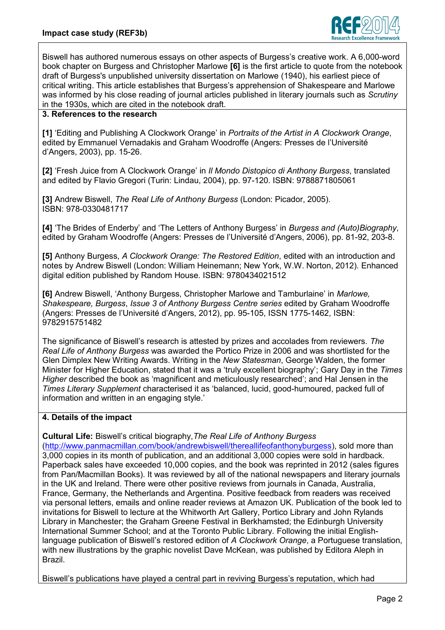

Biswell has authored numerous essays on other aspects of Burgess's creative work. A 6,000-word book chapter on Burgess and Christopher Marlowe **[6]** is the first article to quote from the notebook draft of Burgess's unpublished university dissertation on Marlowe (1940), his earliest piece of critical writing. This article establishes that Burgess's apprehension of Shakespeare and Marlowe was informed by his close reading of journal articles published in literary journals such as *Scrutiny* in the 1930s, which are cited in the notebook draft.

# **3. References to the research**

**[1]** 'Editing and Publishing A Clockwork Orange' in *Portraits of the Artist in A Clockwork Orange*, edited by Emmanuel Vernadakis and Graham Woodroffe (Angers: Presses de l'Université d'Angers, 2003), pp. 15-26.

**[2]** 'Fresh Juice from A Clockwork Orange' in *Il Mondo Distopico di Anthony Burgess*, translated and edited by Flavio Gregori (Turin: Lindau, 2004), pp. 97-120. ISBN: 9788871805061

**[3]** Andrew Biswell, *The Real Life of Anthony Burgess* (London: Picador, 2005). ISBN: 978-0330481717

**[4]** 'The Brides of Enderby' and 'The Letters of Anthony Burgess' in *Burgess and (Auto)Biography*, edited by Graham Woodroffe (Angers: Presses de l'Université d'Angers, 2006), pp. 81-92, 203-8.

**[5]** Anthony Burgess, *A Clockwork Orange: The Restored Edition*, edited with an introduction and notes by Andrew Biswell (London: William Heinemann; New York, W.W. Norton, 2012). Enhanced digital edition published by Random House. ISBN: 9780434021512

**[6]** Andrew Biswell, 'Anthony Burgess, Christopher Marlowe and Tamburlaine' in *Marlowe, Shakespeare, Burgess*, *Issue 3 of Anthony Burgess Centre series* edited by Graham Woodroffe (Angers: Presses de l'Université d'Angers, 2012), pp. 95-105, ISSN 1775-1462, ISBN: 9782915751482

The significance of Biswell's research is attested by prizes and accolades from reviewers. *The Real Life of Anthony Burgess* was awarded the Portico Prize in 2006 and was shortlisted for the Glen Dimplex New Writing Awards. Writing in the *New Statesman*, George Walden, the former Minister for Higher Education, stated that it was a 'truly excellent biography'; Gary Day in the *Times Higher* described the book as 'magnificent and meticulously researched'; and Hal Jensen in the *Times Literary Supplement* characterised it as 'balanced, lucid, good-humoured, packed full of information and written in an engaging style.'

## **4. Details of the impact**

**Cultural Life:** Biswell's critical biography,*The Real Life of Anthony Burgess*

[\(http://www.panmacmillan.com/book/andrewbiswell/thereallifeofanthonyburgess\)](http://www.panmacmillan.com/book/andrewbiswell/thereallifeofanthonyburgess), sold more than 3,000 copies in its month of publication, and an additional 3,000 copies were sold in hardback. Paperback sales have exceeded 10,000 copies, and the book was reprinted in 2012 (sales figures from Pan/Macmillan Books). It was reviewed by all of the national newspapers and literary journals in the UK and Ireland. There were other positive reviews from journals in Canada, Australia, France, Germany, the Netherlands and Argentina. Positive feedback from readers was received via personal letters, emails and online reader reviews at Amazon UK. Publication of the book led to invitations for Biswell to lecture at the Whitworth Art Gallery, Portico Library and John Rylands Library in Manchester; the Graham Greene Festival in Berkhamsted; the Edinburgh University International Summer School; and at the Toronto Public Library. Following the initial Englishlanguage publication of Biswell's restored edition of *A Clockwork Orange*, a Portuguese translation, with new illustrations by the graphic novelist Dave McKean, was published by Editora Aleph in Brazil.

Biswell's publications have played a central part in reviving Burgess's reputation, which had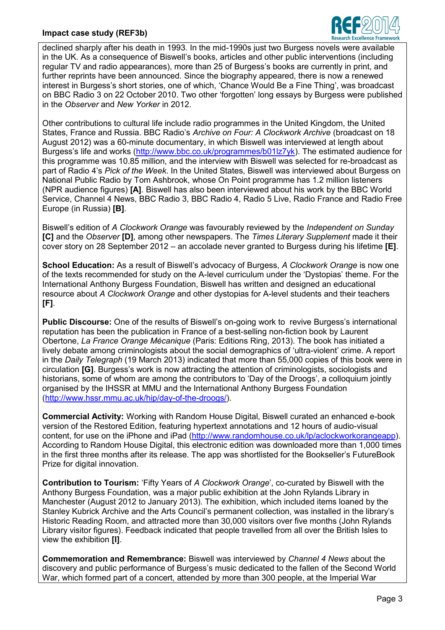## **Impact case study (REF3b)**



declined sharply after his death in 1993. In the mid-1990s just two Burgess novels were available in the UK. As a consequence of Biswell's books, articles and other public interventions (including regular TV and radio appearances), more than 25 of Burgess's books are currently in print, and further reprints have been announced. Since the biography appeared, there is now a renewed interest in Burgess's short stories, one of which, 'Chance Would Be a Fine Thing', was broadcast on BBC Radio 3 on 22 October 2010. Two other 'forgotten' long essays by Burgess were published in the *Observer* and *New Yorker* in 2012.

Other contributions to cultural life include radio programmes in the United Kingdom, the United States, France and Russia. BBC Radio's *Archive on Four: A Clockwork Archive* (broadcast on 18 August 2012) was a 60-minute documentary, in which Biswell was interviewed at length about Burgess's life and works [\(http://www.bbc.co.uk/programmes/b01lz7yk\)](http://www.bbc.co.uk/programmes/b01lz7yk). The estimated audience for this programme was 10.85 million, and the interview with Biswell was selected for re-broadcast as part of Radio 4's *Pick of the Week*. In the United States, Biswell was interviewed about Burgess on National Public Radio by Tom Ashbrook, whose On Point programme has 1.2 million listeners (NPR audience figures) **[A]**. Biswell has also been interviewed about his work by the BBC World Service, Channel 4 News, BBC Radio 3, BBC Radio 4, Radio 5 Live, Radio France and Radio Free Europe (in Russia) **[B]**.

Biswell's edition of *A Clockwork Orange* was favourably reviewed by the *Independent on Sunday* **[C]** and the *Observer* **[D]**, among other newspapers. The *Times Literary Supplement* made it their cover story on 28 September 2012 – an accolade never granted to Burgess during his lifetime **[E]**.

**School Education:** As a result of Biswell's advocacy of Burgess, *A Clockwork Orange* is now one of the texts recommended for study on the A-level curriculum under the 'Dystopias' theme. For the International Anthony Burgess Foundation, Biswell has written and designed an educational resource about *A Clockwork Orange* and other dystopias for A-level students and their teachers **[F]**.

**Public Discourse:** One of the results of Biswell's on-going work to revive Burgess's international reputation has been the publication in France of a best-selling non-fiction book by Laurent Obertone, *La France Orange Mécanique* (Paris: Editions Ring, 2013). The book has initiated a lively debate among criminologists about the social demographics of 'ultra-violent' crime. A report in the *Daily Telegraph* (19 March 2013) indicated that more than 55,000 copies of this book were in circulation **[G]**. Burgess's work is now attracting the attention of criminologists, sociologists and historians, some of whom are among the contributors to 'Day of the Droogs', a colloquium jointly organised by the IHSSR at MMU and the International Anthony Burgess Foundation [\(http://www.hssr.mmu.ac.uk/hip/day-of-the-droogs/\)](http://www.hssr.mmu.ac.uk/hip/day-of-the-droogs/).

**Commercial Activity:** Working with Random House Digital, Biswell curated an enhanced e-book version of the Restored Edition, featuring hypertext annotations and 12 hours of audio-visual content, for use on the iPhone and iPad [\(http://www.randomhouse.co.uk/lp/aclockworkorangeapp\)](http://www.randomhouse.co.uk/lp/aclockworkorangeapp). According to Random House Digital, this electronic edition was downloaded more than 1,000 times in the first three months after its release. The app was shortlisted for the Bookseller's FutureBook Prize for digital innovation.

**Contribution to Tourism:** 'Fifty Years of *A Clockwork Orange*', co-curated by Biswell with the Anthony Burgess Foundation, was a major public exhibition at the John Rylands Library in Manchester (August 2012 to January 2013). The exhibition, which included items loaned by the Stanley Kubrick Archive and the Arts Council's permanent collection, was installed in the library's Historic Reading Room, and attracted more than 30,000 visitors over five months (John Rylands Library visitor figures). Feedback indicated that people travelled from all over the British Isles to view the exhibition **[I]**.

**Commemoration and Remembrance:** Biswell was interviewed by *Channel 4 News* about the discovery and public performance of Burgess's music dedicated to the fallen of the Second World War, which formed part of a concert, attended by more than 300 people, at the Imperial War